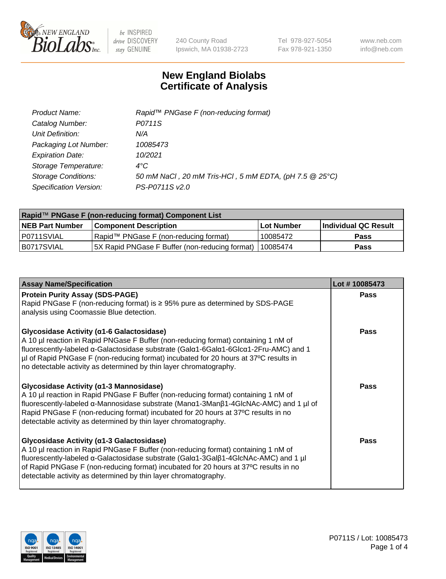

240 County Road Ipswich, MA 01938-2723 Tel 978-927-5054 Fax 978-921-1350 www.neb.com info@neb.com

## **New England Biolabs Certificate of Analysis**

| Product Name:              | Rapid™ PNGase F (non-reducing format)                  |
|----------------------------|--------------------------------------------------------|
| Catalog Number:            | P0711S                                                 |
| Unit Definition:           | N/A                                                    |
| Packaging Lot Number:      | 10085473                                               |
| <b>Expiration Date:</b>    | 10/2021                                                |
| Storage Temperature:       | $4^{\circ}$ C                                          |
| <b>Storage Conditions:</b> | 50 mM NaCl, 20 mM Tris-HCl, 5 mM EDTA, (pH 7.5 @ 25°C) |
| Specification Version:     | PS-P0711S v2.0                                         |

| Rapid™ PNGase F (non-reducing format) Component List |                                                         |                   |                      |  |
|------------------------------------------------------|---------------------------------------------------------|-------------------|----------------------|--|
| <b>NEB Part Number</b>                               | <b>Component Description</b>                            | <b>Lot Number</b> | Individual QC Result |  |
| P0711SVIAL                                           | Rapid™ PNGase F (non-reducing format)                   | 10085472          | <b>Pass</b>          |  |
| IB0717SVIAL                                          | 5X Rapid PNGase F Buffer (non-reducing format) 10085474 |                   | <b>Pass</b>          |  |

| <b>Assay Name/Specification</b>                                                                                                                                                                                                                                                                                                                                                               | Lot #10085473 |
|-----------------------------------------------------------------------------------------------------------------------------------------------------------------------------------------------------------------------------------------------------------------------------------------------------------------------------------------------------------------------------------------------|---------------|
| <b>Protein Purity Assay (SDS-PAGE)</b><br>Rapid PNGase F (non-reducing format) is ≥ 95% pure as determined by SDS-PAGE<br>analysis using Coomassie Blue detection.                                                                                                                                                                                                                            | <b>Pass</b>   |
| <b>Glycosidase Activity (α1-6 Galactosidase)</b><br>A 10 µl reaction in Rapid PNGase F Buffer (non-reducing format) containing 1 nM of<br>fluorescently-labeled α-Galactosidase substrate (Galα1-6Galα1-6Glcα1-2Fru-AMC) and 1<br> µl of Rapid PNGase F (non-reducing format) incubated for 20 hours at 37°C results in<br>no detectable activity as determined by thin layer chromatography. | <b>Pass</b>   |
| Glycosidase Activity (α1-3 Mannosidase)<br>A 10 µl reaction in Rapid PNGase F Buffer (non-reducing format) containing 1 nM of<br>fluorescently-labeled α-Mannosidase substrate (Manα1-3Manβ1-4GlcNAc-AMC) and 1 µl of<br>Rapid PNGase F (non-reducing format) incubated for 20 hours at 37°C results in no<br>detectable activity as determined by thin layer chromatography.                 | <b>Pass</b>   |
| <b>Glycosidase Activity (α1-3 Galactosidase)</b><br>A 10 µl reaction in Rapid PNGase F Buffer (non-reducing format) containing 1 nM of<br>fluorescently-labeled α-Galactosidase substrate (Galα1-3Galβ1-4GlcNAc-AMC) and 1 µl<br>of Rapid PNGase F (non-reducing format) incubated for 20 hours at 37°C results in no<br>detectable activity as determined by thin layer chromatography.      | <b>Pass</b>   |

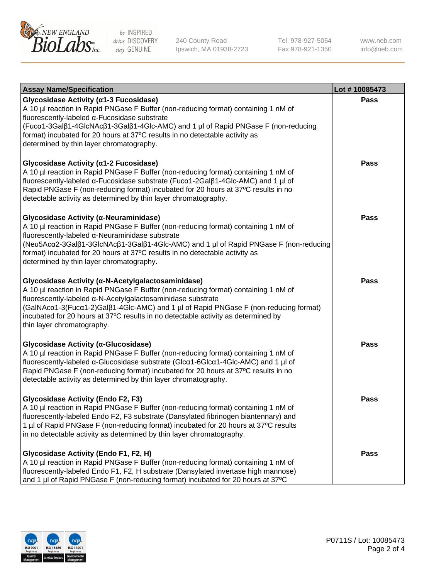

240 County Road Ipswich, MA 01938-2723 Tel 978-927-5054 Fax 978-921-1350 www.neb.com info@neb.com

| <b>Assay Name/Specification</b>                                                                                                                                                                                                                                                                                                                                                                                    | Lot #10085473 |
|--------------------------------------------------------------------------------------------------------------------------------------------------------------------------------------------------------------------------------------------------------------------------------------------------------------------------------------------------------------------------------------------------------------------|---------------|
| Glycosidase Activity (α1-3 Fucosidase)<br>A 10 µl reaction in Rapid PNGase F Buffer (non-reducing format) containing 1 nM of<br>fluorescently-labeled α-Fucosidase substrate<br>(Fucα1-3Galβ1-4GlcNAcβ1-3Galβ1-4Glc-AMC) and 1 µl of Rapid PNGase F (non-reducing<br>format) incubated for 20 hours at 37°C results in no detectable activity as<br>determined by thin layer chromatography.                       | <b>Pass</b>   |
| Glycosidase Activity (α1-2 Fucosidase)<br>A 10 µl reaction in Rapid PNGase F Buffer (non-reducing format) containing 1 nM of<br>fluorescently-labeled α-Fucosidase substrate (Fucα1-2Galβ1-4Glc-AMC) and 1 µl of<br>Rapid PNGase F (non-reducing format) incubated for 20 hours at 37°C results in no<br>detectable activity as determined by thin layer chromatography.                                           | <b>Pass</b>   |
| Glycosidase Activity (α-Neuraminidase)<br>A 10 µl reaction in Rapid PNGase F Buffer (non-reducing format) containing 1 nM of<br>fluorescently-labeled α-Neuraminidase substrate<br>(Neu5Acα2-3Galβ1-3GlcNAcβ1-3Galβ1-4Glc-AMC) and 1 µl of Rapid PNGase F (non-reducing<br>format) incubated for 20 hours at 37°C results in no detectable activity as<br>determined by thin layer chromatography.                 | <b>Pass</b>   |
| Glycosidase Activity (α-N-Acetylgalactosaminidase)<br>A 10 µl reaction in Rapid PNGase F Buffer (non-reducing format) containing 1 nM of<br>fluorescently-labeled a-N-Acetylgalactosaminidase substrate<br>(GalNAcα1-3(Fucα1-2)Galß1-4Glc-AMC) and 1 µl of Rapid PNGase F (non-reducing format)<br>incubated for 20 hours at 37°C results in no detectable activity as determined by<br>thin layer chromatography. | <b>Pass</b>   |
| Glycosidase Activity (α-Glucosidase)<br>A 10 µl reaction in Rapid PNGase F Buffer (non-reducing format) containing 1 nM of<br>fluorescently-labeled α-Glucosidase substrate (Glcα1-6Glcα1-4Glc-AMC) and 1 µl of<br>Rapid PNGase F (non-reducing format) incubated for 20 hours at 37°C results in no<br>detectable activity as determined by thin layer chromatography.                                            | <b>Pass</b>   |
| <b>Glycosidase Activity (Endo F2, F3)</b><br>A 10 µl reaction in Rapid PNGase F Buffer (non-reducing format) containing 1 nM of<br>fluorescently-labeled Endo F2, F3 substrate (Dansylated fibrinogen biantennary) and<br>1 µl of Rapid PNGase F (non-reducing format) incubated for 20 hours at 37°C results<br>in no detectable activity as determined by thin layer chromatography.                             | <b>Pass</b>   |
| Glycosidase Activity (Endo F1, F2, H)<br>A 10 µl reaction in Rapid PNGase F Buffer (non-reducing format) containing 1 nM of<br>fluorescently-labeled Endo F1, F2, H substrate (Dansylated invertase high mannose)<br>and 1 µl of Rapid PNGase F (non-reducing format) incubated for 20 hours at 37°C                                                                                                               | Pass          |

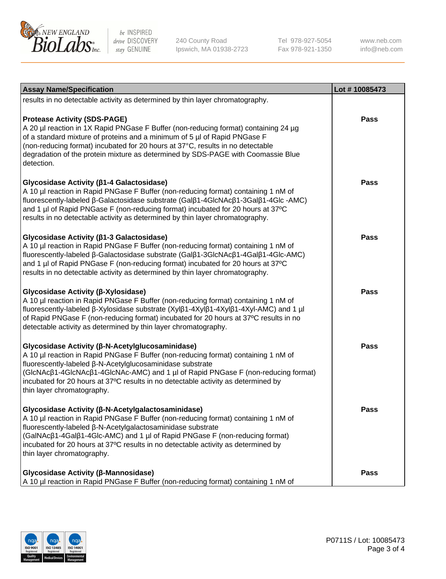

240 County Road Ipswich, MA 01938-2723 Tel 978-927-5054 Fax 978-921-1350 www.neb.com info@neb.com

| <b>Assay Name/Specification</b>                                                                                                                                                                                                                                                                                                                                                                             | Lot #10085473 |
|-------------------------------------------------------------------------------------------------------------------------------------------------------------------------------------------------------------------------------------------------------------------------------------------------------------------------------------------------------------------------------------------------------------|---------------|
| results in no detectable activity as determined by thin layer chromatography.                                                                                                                                                                                                                                                                                                                               |               |
| <b>Protease Activity (SDS-PAGE)</b><br>A 20 µl reaction in 1X Rapid PNGase F Buffer (non-reducing format) containing 24 µg<br>of a standard mixture of proteins and a minimum of 5 µl of Rapid PNGase F<br>(non-reducing format) incubated for 20 hours at 37°C, results in no detectable<br>degradation of the protein mixture as determined by SDS-PAGE with Coomassie Blue<br>detection.                 | <b>Pass</b>   |
| Glycosidase Activity (β1-4 Galactosidase)<br>A 10 µl reaction in Rapid PNGase F Buffer (non-reducing format) containing 1 nM of<br>fluorescently-labeled β-Galactosidase substrate (Galβ1-4GlcNAcβ1-3Galβ1-4Glc -AMC)<br>and 1 µl of Rapid PNGase F (non-reducing format) incubated for 20 hours at 37°C<br>results in no detectable activity as determined by thin layer chromatography.                   | <b>Pass</b>   |
| Glycosidase Activity (β1-3 Galactosidase)<br>A 10 µl reaction in Rapid PNGase F Buffer (non-reducing format) containing 1 nM of<br>fluorescently-labeled β-Galactosidase substrate (Galβ1-3GlcNAcβ1-4Galβ1-4Glc-AMC)<br>and 1 µl of Rapid PNGase F (non-reducing format) incubated for 20 hours at 37°C<br>results in no detectable activity as determined by thin layer chromatography.                    | Pass          |
| Glycosidase Activity (β-Xylosidase)<br>A 10 µl reaction in Rapid PNGase F Buffer (non-reducing format) containing 1 nM of<br>fluorescently-labeled β-Xylosidase substrate (Xylβ1-4Xylβ1-4Xylβ1-4Xyl-AMC) and 1 µl<br>of Rapid PNGase F (non-reducing format) incubated for 20 hours at 37°C results in no<br>detectable activity as determined by thin layer chromatography.                                | <b>Pass</b>   |
| Glycosidase Activity (β-N-Acetylglucosaminidase)<br>A 10 µl reaction in Rapid PNGase F Buffer (non-reducing format) containing 1 nM of<br>fluorescently-labeled β-N-Acetylglucosaminidase substrate<br>(GIcNAcβ1-4GIcNAcβ1-4GIcNAc-AMC) and 1 µl of Rapid PNGase F (non-reducing format)<br>incubated for 20 hours at 37°C results in no detectable activity as determined by<br>thin layer chromatography. | <b>Pass</b>   |
| Glycosidase Activity (β-N-Acetylgalactosaminidase)<br>A 10 µl reaction in Rapid PNGase F Buffer (non-reducing format) containing 1 nM of<br>fluorescently-labeled β-N-Acetylgalactosaminidase substrate<br>(GalNAcβ1-4Galβ1-4Glc-AMC) and 1 µl of Rapid PNGase F (non-reducing format)<br>incubated for 20 hours at 37°C results in no detectable activity as determined by<br>thin layer chromatography.   | <b>Pass</b>   |
| Glycosidase Activity (β-Mannosidase)<br>A 10 µl reaction in Rapid PNGase F Buffer (non-reducing format) containing 1 nM of                                                                                                                                                                                                                                                                                  | <b>Pass</b>   |